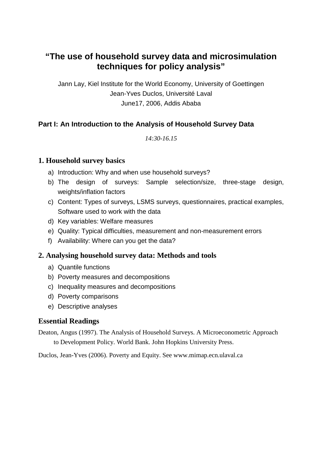# **"The use of household survey data and microsimulation techniques for policy analysis"**

Jann Lay, Kiel Institute for the World Economy, University of Goettingen Jean-Yves Duclos, Université Laval June17, 2006, Addis Ababa

## **Part I: An Introduction to the Analysis of Household Survey Data**

*14:30-16.15* 

### **1. Household survey basics**

- a) Introduction: Why and when use household surveys?
- b) The design of surveys: Sample selection/size, three-stage design, weights/inflation factors
- c) Content: Types of surveys, LSMS surveys, questionnaires, practical examples, Software used to work with the data
- d) Key variables: Welfare measures
- e) Quality: Typical difficulties, measurement and non-measurement errors
- f) Availability: Where can you get the data?

#### **2. Analysing household survey data: Methods and tools**

- a) Quantile functions
- b) Poverty measures and decompositions
- c) Inequality measures and decompositions
- d) Poverty comparisons
- e) Descriptive analyses

#### **Essential Readings**

Deaton, Angus (1997). The Analysis of Household Surveys. A Microeconometric Approach to Development Policy. World Bank. John Hopkins University Press.

Duclos, Jean-Yves (2006). Poverty and Equity. See www.mimap.ecn.ulaval.ca